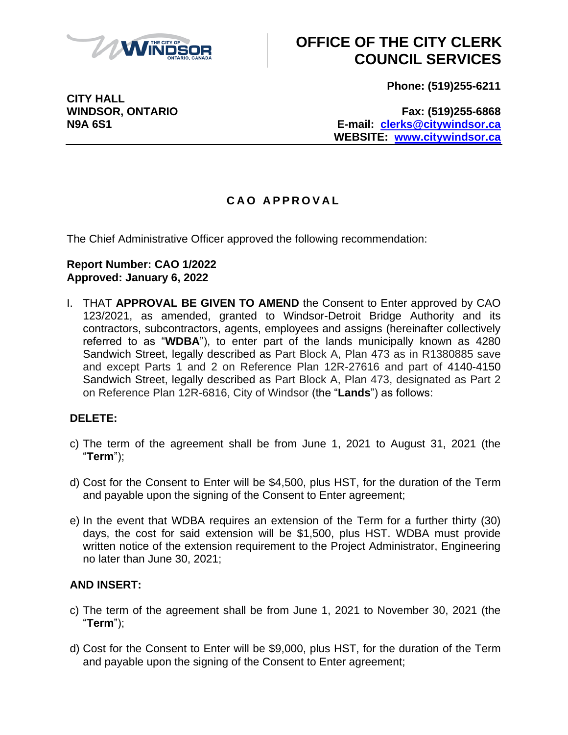

# **OFFICE OF THE CITY CLERK COUNCIL SERVICES**

**Phone: (519)255-6211**

**CITY HALL**

**WINDSOR, ONTARIO Fax: (519)255-6868 N9A 6S1 E-mail: [clerks@citywindsor.ca](mailto:clerks@citywindsor.ca) WEBSITE: [www.citywindsor.ca](http://www.citywindsor.ca/)**

## **C A O A P P R O V A L**

The Chief Administrative Officer approved the following recommendation:

### **Report Number: CAO 1/2022 Approved: January 6, 2022**

I. THAT **APPROVAL BE GIVEN TO AMEND** the Consent to Enter approved by CAO 123/2021, as amended, granted to Windsor-Detroit Bridge Authority and its contractors, subcontractors, agents, employees and assigns (hereinafter collectively referred to as "**WDBA**"), to enter part of the lands municipally known as 4280 Sandwich Street, legally described as Part Block A, Plan 473 as in R1380885 save and except Parts 1 and 2 on Reference Plan 12R-27616 and part of 4140-4150 Sandwich Street, legally described as Part Block A, Plan 473, designated as Part 2 on Reference Plan 12R-6816, City of Windsor (the "**Lands**") as follows:

### **DELETE:**

- c) The term of the agreement shall be from June 1, 2021 to August 31, 2021 (the "**Term**");
- d) Cost for the Consent to Enter will be \$4,500, plus HST, for the duration of the Term and payable upon the signing of the Consent to Enter agreement;
- e) In the event that WDBA requires an extension of the Term for a further thirty (30) days, the cost for said extension will be \$1,500, plus HST. WDBA must provide written notice of the extension requirement to the Project Administrator, Engineering no later than June 30, 2021;

### **AND INSERT:**

- c) The term of the agreement shall be from June 1, 2021 to November 30, 2021 (the "**Term**");
- d) Cost for the Consent to Enter will be \$9,000, plus HST, for the duration of the Term and payable upon the signing of the Consent to Enter agreement;